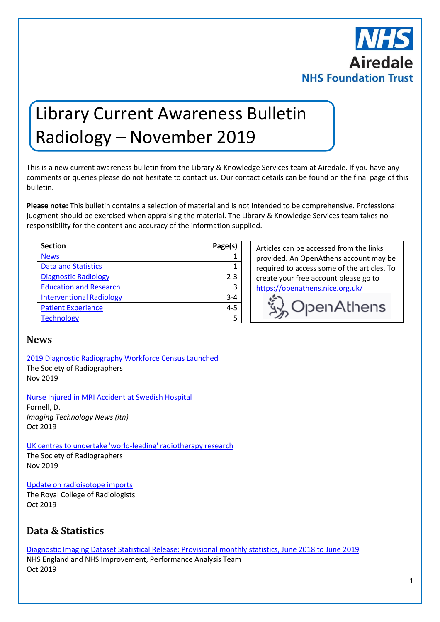

# Library Current Awareness Bulletin Radiology – November 2019

This is a new current awareness bulletin from the Library & Knowledge Services team at Airedale. If you have any comments or queries please do not hesitate to contact us. Our contact details can be found on the final page of this bulletin.

**Please note:** This bulletin contains a selection of material and is not intended to be comprehensive. Professional judgment should be exercised when appraising the material. The Library & Knowledge Services team takes no responsibility for the content and accuracy of the information supplied.

| <b>Section</b>                  | Page(s) |
|---------------------------------|---------|
| <b>News</b>                     |         |
| <b>Data and Statistics</b>      |         |
| <b>Diagnostic Radiology</b>     | $2 - 3$ |
| <b>Education and Research</b>   | 3       |
| <b>Interventional Radiology</b> | 3-4     |
| <b>Patient Experience</b>       | $4 - 5$ |
| <b>Technology</b>               |         |

Articles can be accessed from the links provided. An OpenAthens account may be required to access some of the articles. To create your free account please go to <https://openathens.nice.org.uk/>

 $\lambda_{\rm n}$  Open Athens

#### <span id="page-0-0"></span>**News**

[2019 Diagnostic Radiography Workforce Census Launched](https://www.sor.org/news/2019-diagnostic-radiography-workforce-census-launched) The Society of Radiographers Nov 2019

[Nurse Injured in MRI Accident at Swedish Hospital](https://www.itnonline.com/article/nurse-injured-mri-accident-swedish-hospital)

Fornell, D. *Imaging Technology News (itn)* Oct 2019

[UK centres to undertake 'world-leading' radiotherapy research](https://www.sor.org/news/uk-centres-undertake-world-leading-radiotherapy-research)

The Society of Radiographers Nov 2019

[Update on radioisotope imports](https://www.rcr.ac.uk/posts/update-radioisotope-imports)

The Royal College of Radiologists Oct 2019

## <span id="page-0-1"></span>**Data & Statistics**

[Diagnostic Imaging Dataset Statistical Release: Provisional monthly statistics, June 2018 to June 2019](https://www.england.nhs.uk/statistics/statistical-work-areas/diagnostic-imaging-dataset/diagnostic-imaging-dataset-2019-20-data/)

NHS England and NHS Improvement, Performance Analysis Team Oct 2019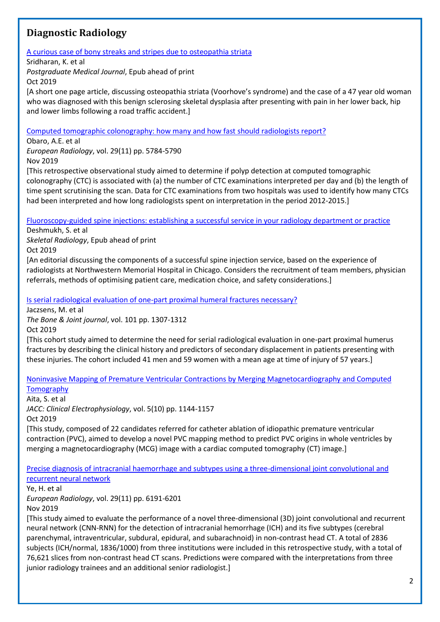## <span id="page-1-0"></span>**Diagnostic Radiology**

#### [A curious case of bony streaks and stripes due to osteopathia striata](http://dx.doi.org/10.1136/postgradmedj-2019-136936)

Sridharan, K. et al

*Postgraduate Medical Journal*, Epub ahead of print

Oct 2019

[A short one page article, discussing osteopathia striata (Voorhove's syndrome) and the case of a 47 year old woman who was diagnosed with this benign sclerosing skeletal dysplasia after presenting with pain in her lower back, hip and lower limbs following a road traffic accident.]

[Computed tomographic colonography: how many and how fast should radiologists report?](https://link.springer.com/content/pdf/10.1007%2Fs00330-019-06175-y.pdf)

Obaro, A.E. et al

*European Radiology*, vol. 29(11) pp. 5784-5790

Nov 2019

[This retrospective observational study aimed to determine if polyp detection at computed tomographic colonography (CTC) is associated with (a) the number of CTC examinations interpreted per day and (b) the length of time spent scrutinising the scan. Data for CTC examinations from two hospitals was used to identify how many CTCs had been interpreted and how long radiologists spent on interpretation in the period 2012-2015.]

[Fluoroscopy-guided spine injections: establishing a successful service in your radiology department or practice](https://link.springer.com/content/pdf/10.1007%2Fs00256-019-03319-5.pdf)

Deshmukh, S. et al *Skeletal Radiology*, Epub ahead of print

Oct 2019

[An editorial discussing the components of a successful spine injection service, based on the experience of radiologists at Northwestern Memorial Hospital in Chicago. Considers the recruitment of team members, physician referrals, methods of optimising patient care, medication choice, and safety considerations.]

[Is serial radiological evaluation of one-part proximal humeral fractures necessary?](https://biblio.ugent.be/publication/8630904/file/8630907.pdf)

Jaczsens, M. et al

*The Bone & Joint journal*, vol. 101 pp. 1307-1312

Oct 2019

[This cohort study aimed to determine the need for serial radiological evaluation in one-part proximal humerus fractures by describing the clinical history and predictors of secondary displacement in patients presenting with these injuries. The cohort included 41 men and 59 women with a mean age at time of injury of 57 years.]

[Noninvasive Mapping of Premature Ventricular Contractions by Merging Magnetocardiography and Computed](https://www.sciencedirect.com/science/article/pii/S2405500X19304694?via%3Dihub)  **[Tomography](https://www.sciencedirect.com/science/article/pii/S2405500X19304694?via%3Dihub)** 

Aita, S. et al

*JACC: Clinical Electrophysiology*, vol. 5(10) pp. 1144-1157

Oct 2019

[This study, composed of 22 candidates referred for catheter ablation of idiopathic premature ventricular contraction (PVC), aimed to develop a novel PVC mapping method to predict PVC origins in whole ventricles by merging a magnetocardiography (MCG) image with a cardiac computed tomography (CT) image.]

[Precise diagnosis of intracranial haemorrhage and subtypes using a three-dimensional joint convolutional](https://link.springer.com/content/pdf/10.1007%2Fs00330-019-06163-2.pdf) and [recurrent neural network](https://link.springer.com/content/pdf/10.1007%2Fs00330-019-06163-2.pdf)

Ye, H. et al

*European Radiology*, vol. 29(11) pp. 6191-6201

Nov 2019

[This study aimed to evaluate the performance of a novel three-dimensional (3D) joint convolutional and recurrent neural network (CNN-RNN) for the detection of intracranial hemorrhage (ICH) and its five subtypes (cerebral parenchymal, intraventricular, subdural, epidural, and subarachnoid) in non-contrast head CT. A total of 2836 subjects (ICH/normal, 1836/1000) from three institutions were included in this retrospective study, with a total of 76,621 slices from non-contrast head CT scans. Predictions were compared with the interpretations from three junior radiology trainees and an additional senior radiologist.]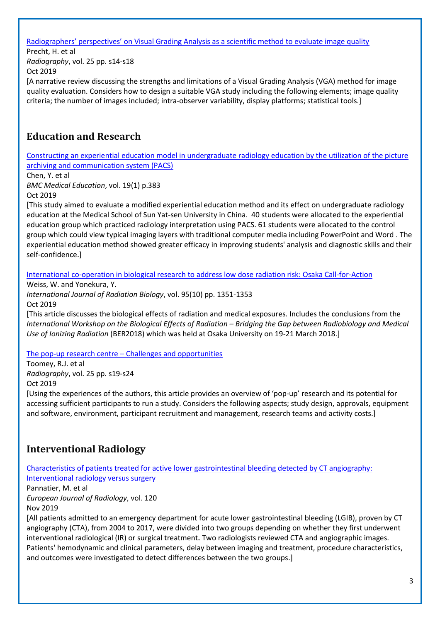### [Radiographers' perspectives' on Visual Grading Analysis as a scientific method to evaluate image quality](https://www.radiographyonline.com/article/S1078-8174(19)30088-4/pdf)

Precht, H. et al *Radiography*, vol. 25 pp. s14-s18 Oct 2019

[A narrative review discussing the strengths and limitations of a Visual Grading Analysis (VGA) method for image quality evaluation. Considers how to design a suitable VGA study including the following elements; image quality criteria; the number of images included; intra-observer variability, display platforms; statistical tools.]

## <span id="page-2-0"></span>**Education and Research**

[Constructing an experiential education model in undergraduate radiology education by the utilization of the picture](https://bmcmededuc.biomedcentral.com/track/pdf/10.1186/s12909-019-1827-0)  [archiving and communication system \(PACS\)](https://bmcmededuc.biomedcentral.com/track/pdf/10.1186/s12909-019-1827-0)

Chen, Y. et al

*BMC Medical Education*, vol. 19(1) p.383

Oct 2019

[This study aimed to evaluate a modified experiential education method and its effect on undergraduate radiology education at the Medical School of Sun Yat-sen University in China. 40 students were allocated to the experiential education group which practiced radiology interpretation using PACS. 61 students were allocated to the control group which could view typical imaging layers with traditional computer media including PowerPoint and Word . The experiential education method showed greater efficacy in improving students' analysis and diagnostic skills and their self-confidence.]

[International co-operation in biological research to address low dose radiation risk: Osaka Call-for-Action](https://www.tandfonline.com/doi/pdf/10.1080/09553002.2019.1642691?needAccess=true)

Weiss, W. and Yonekura, Y. *International Journal of Radiation Biology*, vol. 95(10) pp. 1351-1353 Oct 2019

[This article discusses the biological effects of radiation and medical exposures. Includes the conclusions from the *International Workshop on the Biological Effects of Radiation – Bridging the Gap between Radiobiology and Medical Use of Ionizing Radiation* (BER2018) which was held at Osaka University on 19-21 March 2018.]

#### The pop-up research centre – [Challenges and opportunities](https://www.radiographyonline.com/article/S1078-8174(19)30066-5/pdf)

Toomey, R.J. et al *Radiography*, vol. 25 pp. s19-s24 Oct 2019

[Using the experiences of the authors, this article provides an overview of 'pop-up' research and its potential for accessing sufficient participants to run a study. Considers the following aspects; study design, approvals, equipment and software, environment, participant recruitment and management, research teams and activity costs.]

## <span id="page-2-1"></span>**Interventional Radiology**

[Characteristics of patients treated for active lower gastrointestinal bleeding detected by CT angiography:](https://www.ejradiology.com/article/S0720-048X(19)30341-9/pdf)  [Interventional radiology versus surgery](https://www.ejradiology.com/article/S0720-048X(19)30341-9/pdf)

Pannatier, M. et al

*European Journal of Radiology*, vol. 120

Nov 2019

[All patients admitted to an emergency department for acute lower gastrointestinal bleeding (LGIB), proven by CT angiography (CTA), from 2004 to 2017, were divided into two groups depending on whether they first underwent interventional radiological (IR) or surgical treatment**.** Two radiologists reviewed CTA and angiographic images. Patients' hemodynamic and clinical parameters, delay between imaging and treatment, procedure characteristics, and outcomes were investigated to detect differences between the two groups.]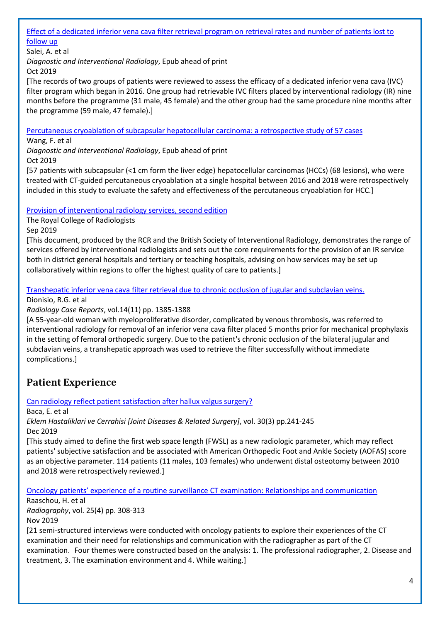[Effect of a dedicated inferior vena cava filter retrieval program on retrieval rates and number of patients lost to](http://europepmc.org/abstract/MED/31650974?fromSearch=singleResult&fromQuery=%28DOI:10.5152/dir.2019.18579%29)  [follow up](http://europepmc.org/abstract/MED/31650974?fromSearch=singleResult&fromQuery=%28DOI:10.5152/dir.2019.18579%29)

Salei, A. et al

*Diagnostic and Interventional Radiology*, Epub ahead of print Oct 2019

[The records of two groups of patients were reviewed to assess the efficacy of a dedicated inferior vena cava (IVC) filter program which began in 2016. One group had retrievable IVC filters placed by interventional radiology (IR) nine months before the programme (31 male, 45 female) and the other group had the same procedure nine months after the programme (59 male, 47 female).]

[Percutaneous cryoablation of subcapsular hepatocellular carcinoma: a retrospective study](http://europepmc.org/abstract/MED/31650975;jsessionid=CE56AE749191228EC55AC0FCD29BECDD?fromSearch=singleResult&fromQuery=%28DOI:10.5152/dir.2019.18543%29) of 57 cases

Wang, F. et al

*Diagnostic and Interventional Radiology*, Epub ahead of print

Oct 2019

[57 patients with subcapsular (<1 cm form the liver edge) hepatocellular carcinomas (HCCs) (68 lesions), who were treated with CT-guided percutaneous cryoablation at a single hospital between 2016 and 2018 were retrospectively included in this study to evaluate the safety and effectiveness of the percutaneous cryoablation for HCC.]

## [Provision of interventional radiology services, second edition](https://www.rcr.ac.uk/publication/provision-interventional-radiology-services-second-edition)

The Royal College of Radiologists

Sep 2019

[This document, produced by the RCR and the British Society of Interventional Radiology, demonstrates the range of services offered by interventional radiologists and sets out the core requirements for the provision of an IR service both in district general hospitals and tertiary or teaching hospitals, advising on how services may be set up collaboratively within regions to offer the highest quality of care to patients.]

[Transhepatic inferior vena cava filter retrieval due to chronic occlusion of jugular and subclavian veins.](https://www.sciencedirect.com/science/article/pii/S1930043319302821?via%3Dihub)

Dionisio, R.G. et al

*Radiology Case Reports*, vol.14(11) pp. 1385-1388

[A 55-year-old woman with myeloproliferative disorder, complicated by venous thrombosis, was referred to interventional radiology for removal of an inferior vena cava filter placed 5 months prior for mechanical prophylaxis in the setting of femoral orthopedic surgery. Due to the patient's chronic occlusion of the bilateral jugular and subclavian veins, a transhepatic approach was used to retrieve the filter successfully without immediate complications.]

## <span id="page-3-0"></span>**Patient Experience**

[Can radiology reflect patient satisfaction after hallux valgus surgery?](http://www.tevak.org/pdf/dergi/2019/pdfsno3/30_3_241_245.pdf)

Baca, E. et al

*Eklem Hastaliklari ve Cerrahisi [Joint Diseases & Related Surgery]*, vol. 30(3) pp.241-245 Dec 2019

[This study aimed to define the first web space length (FWSL) as a new radiologic parameter, which may reflect patients' subjective satisfaction and be associated with American Orthopedic Foot and Ankle Society (AOFAS) score as an objective parameter. 114 patients (11 males, 103 females) who underwent distal osteotomy between 2010 and 2018 were retrospectively reviewed.]

[Oncology patients' experience of a routine surveillance CT examination: Relationships and communication](https://www.radiographyonline.com/article/S1078-8174(18)30171-8/fulltext)

Raaschou, H. et al *Radiography*, vol. 25(4) pp. 308-313 Nov 2019

[21 semi-structured interviews were conducted with oncology patients to explore their experiences of the CT examination and their need for relationships and communication with the radiographer as part of the CT examination. Four themes were constructed based on the analysis: 1. The professional radiographer, 2. Disease and treatment, 3. The examination environment and 4. While waiting.]